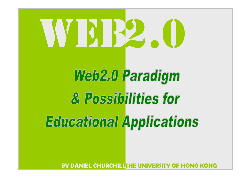# VISIB2. (I)

# Web2.0 Paradigm & Possibilities for **Educational Applications**

**BY DANIEL CHURCHILLTHE UNIVERSITY OF HONG KONG**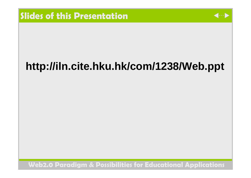

# **http://iln.cite.hku.hk/com/1238/Web.ppt**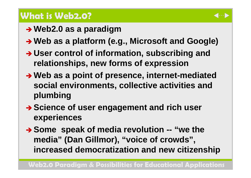# **What is Web2.0?**

- **→ Web2.0 as a paradigm**
- **→ Web as a platform (e.g., Microsoft and Google)**
- **→ User control of information, subscribing and relationships, new forms of expression**
- **→ Web as a point of presence, internet-mediated social environments, collective activities and plumbing**
- **→ Science of user engagement and rich user experiences**
- **→ Some speak of media revolution -- "we the media" (Dan Gillmor), "voice of crowds", increased democratization and new citizenship**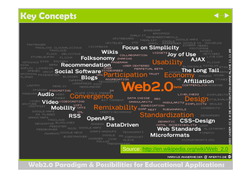# **Key Concepts**





Source: http://en.wikipedia.org/wiki/Web\_2.0

MARKUS.ANGERMEIER @ APERTO.DE <sup>@</sup>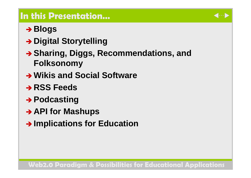# **In this Presentation…**

# $\rightarrow$  Blogs

- **→ Digital Storytelling**
- **→ Sharing, Diggs, Recommendations, and Folksonomy**
- **→ Wikis and Social Software**
- **→ RSS Feeds**
- **→ Podcasting**
- **→ API for Mashups**
- **→ Implications for Education**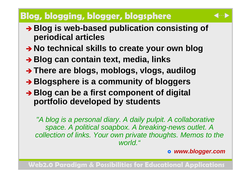# **Blog, blogging, blogger, blogsphere**

- **→ Blog** is web-based publication consisting of **periodical articles**
- **→ No technical skills to create your own blog**
- **→ Blog can contain text, media, links**
- **→ There are blogs, moblogs, vlogs, audilog**
- **→ Blogsphere is a community of bloggers**
- **→ Blog can be a first component of digital portfolio developed by students**

*"A blog is a personal diary. A daily pulpit. A collaborative space. A political soapbox. A breaking-news outlet. A collection of links. Your own private thoughts. Memos to the world."*

#### } *www.blogger.com*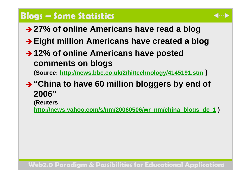#### **Blogs – Some Statistics**

- 
- **→ 27% of online Americans have read a blog**
- **→ Eight million Americans have created a blog**
- **→ 12% of online Americans have posted comments on blogs**

**(Source: http://news.bbc.co.uk/2/hi/techn ology/4145191.stm )**

**→ "China to have 60 million bloggers by end of 2006"**

**(Reuters** 

**http://news.yahoo.com/s/nm/20060506/wr\_nm/china\_blogs\_dc\_1 )**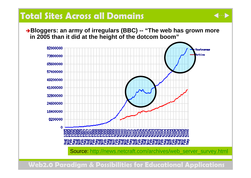# **Total Sites Across all Domains**

<sup>Î</sup>**Bloggers: an arm y of irregulars (BBC) -- "The web has grown m ore in 2005 than it did at the height of the dotcom boom"**

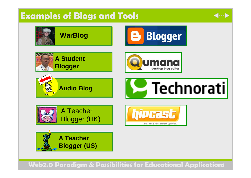# **Examples of Blogs and Tools**



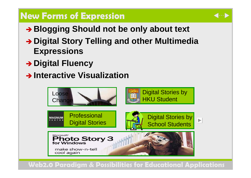# **New Forms of Expression**

- **→ Blogging Should not be only about text**
- **→ Digital Story Telling and other Multimedia Expressions**
- **→ Digital Fluency**
- $\rightarrow$  **Interactive Visualization**

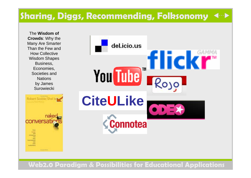#### **Sharing, Diggs, Recommending, Folksonomy**

The **Wisdom of Crowds**: Why the Many Are Smarter Than the Few and How Collective Wisdom Shapes Business, Economi es, Societies and **Nations** by James Surowiecki

Robert Scoble Shel Isl conversa **LICENSE RAIL** 

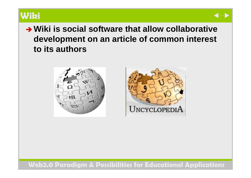

# **→ Wiki is social software that allow collaborative development on an article of common interest to its authors**



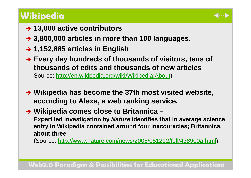# **Wikipedia**

- **→ 13,000 active contributors**
- **→ 3,800,000 articles in more than 100 languages.**
- **→ 1,152,885 articles in English**
- **→ Every day hundreds of thousands of visitors, tens of thousands of edits and thousands of new articles**Source: <u>http://en.wikipedia.org/wiki/Wikipedia:About</u>)
- **→ Wikipedia has become the 37th most visited website, according to Alexa, a web ranking service.**
- **→ Wikipedia comes close to Britannica Expert led investigation by** *Nature* **identifies that in average science entry in Wikipedia contained around four inaccuracies; Brita nnica, about three**

(Source: http://www.nature.com/news/2005/051212/full/438900a.html)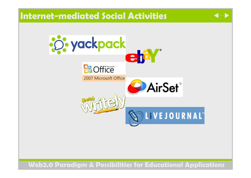## **Internet-mediated Social Activities**



 $\langle \hspace{-0.2em} \langle \hspace{-0.2em} \langle \hspace{-0.2em} \langle \hspace{-0.2em} \langle \hspace{-0.2em} \langle \hspace{-0.2em} \langle \hspace{-0.2em} \langle \hspace{-0.2em} \langle \hspace{-0.2em} \langle \hspace{-0.2em} \langle \hspace{-0.2em} \rangle \hspace{-0.2em} \rangle \hspace{-0.2em} \rangle$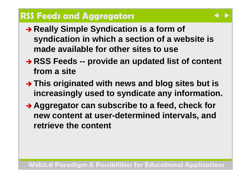# **RSS Feeds and Aggregators**

- **→ Really Simple Syndication is a form of syndication in which a section of a website is made available for other sites to use**
- **→ RSS Feeds -- provide an updated list of content from a site**
- **→ This originated with news and blog sites but is increasingly used to syndicate any information.**
- **Aggregator can subscribe to a feed, check for new content at user-determined intervals, and retrieve the content**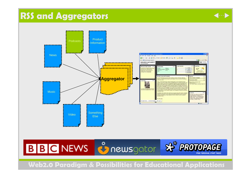# **RSS and Aggregators**





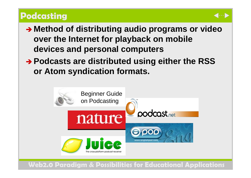# **Podcasting**

- **→ Method of distributing audio programs or video over the Internet for playback on mobile devices and personal computers**
- **→ Podcasts are distributed using either the RSS or Atom syndication formats.**

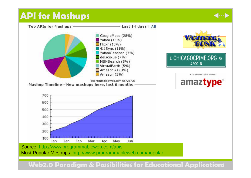# **API for Mashups**



 $\blacksquare$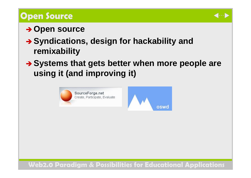# **Open Source**



# **→ Open source**

- **→ Syndications, design for hackability and remixability**
- **→ Systems that gets better when more people are using it (and improving it)**

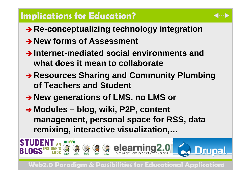# **Implications for Education?**

- **→ Re-conceptualizing technology integration**
- $\rightarrow$  **New forms of Assessment**
- $\rightarrow$  Internet-mediated social environments and **what does it mean to collaborate**
- **→ Resources Sharing and Community Plumbing of Teachers and Student**
- **→ New generations of LMS, no LMS or**
- **→ Modules blog, wiki, P2P, content management, personal space for RSS, data remixing, interactive visualization,…**

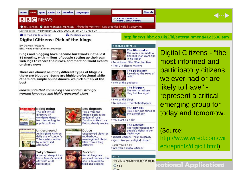#### News Sport Radio TV Weather Languages **Home**

#### **BBCNEWS**

**VIDEO AND AUDIO** 

 $\blacksquare \cdots \blacksquare$ 

#### O UK version O International version About the versions | Low graphics | Help | Contact us

Last Updated: Wednesday, 20 July, 2005, 06:38 GMT 07:38 UK

**Bill** E-mail this to a friend

**Printable version** 

#### **Digital Citizens: Pick of the blogs**

**By Darren Waters BBC News entertainment reporter** 

Blogs and blogging have become buzzwords in the last 18 months, with millions of people setting up their own web logs to record their lives, comment on world events or share news.

There are almost as many different types of blogs as there are bloggers. Some are highly professional while others are simple online diaries. We pick out six of the best.

Please note that some blogs can contain stronglyworded language and highly-personal views.



**Boing Boing** The self-styled directory of wonderful things from technology to popular culture







**Underground** An insightful take on daily use of London's Tube system written by a harassed commuter



**Tokyo Times** A guirky viewpoint on life in Japan's capital city from a UK

**Fisher Millenger Dooce** Uncensored views on motherhood. marriage and life in Utah from a blog celebrity

# **Zucchini**

Not all blogs are personal diaries - this one is devoted to



The activist The writer fighting for people's rights in the digital age

Digital Citizens: Your creativity

**HAVE YOUR SAY** 

Are you a regular reader of blogs?



#### **DIGITAL CITIZENS**

**LATEST NEWS IN** 



The film-maker The man who made a \$20,000 Star Wars film in his cellar

**Search** 

\* In pictures: Star Wars fan film The DIY sitcom makers



The podcaster Re-writing the rules of radio

▶ Pick of the podcasts



**The blogger** The woman whose blog lost her a job

Pick of the blogs \* In pictures: The Photobloggers



The DIY DJs Play your own tunes to the dancefloor

\* 'My night as a DJ'





Ouiz: Are you a digital citizen?

Are you a digital citizen?

#### VOTE

Digital Citizens - "the most informed and participatory citizens we ever had or are likely to have" represent a critical emerging group for today and tomorrow.

#### (Source:

http://www.wired.com/wir <u>ed/reprints/digicit.html</u>)

**Perspective WebS. Properties For Educations**